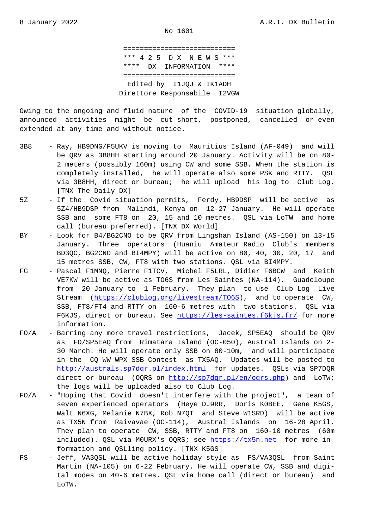=========================== \*\*\* 4 2 5 D X N E W S \*\*\* \*\*\*\* DX INFORMATION \*\*\*\* =========================== Edited by I1JQJ & IK1ADH Direttore Responsabile I2VGW

Owing to the ongoing and fluid nature of the COVID-19 situation globally, announced activities might be cut short, postponed, cancelled or even extended at any time and without notice.

- 3B8 Ray, HB9DNG/F5UKV is moving to Mauritius Island (AF-049) and will be QRV as 3B8HH starting around 20 January. Activity will be on 80- 2 meters (possibly 160m) using CW and some SSB. When the station is completely installed, he will operate also some PSK and RTTY. QSL via 3B8HH, direct or bureau; he will upload his log to Club Log. [TNX The Daily DX]
- 5Z If the Covid situation permits, Ferdy, HB9DSP will be active as 5Z4/HB9DSP from Malindi, Kenya on 12-27 January. He will operate SSB and some FT8 on 20, 15 and 10 metres. QSL via LoTW and home call (bureau preferred). [TNX DX World]
- BY Look for B4/BG2CNO to be QRV from Lingshan Island (AS-150) on 13-15 January. Three operators (Huaniu Amateur Radio Club's members BD3QC, BG2CNO and BI4MPY) will be active on 80, 40, 30, 20, 17 and 15 metres SSB, CW, FT8 with two stations. QSL via BI4MPY.
- FG Pascal F1MNQ, Pierre F1TCV, Michel F5LRL, Didier F6BCW and Keith VE7KW will be active as TO6S from Les Saintes (NA-114), Guadeloupe from 20 January to 1 February. They plan to use Club Log Live Stream (https://clublog.org/livestream/TO6S), and to operate CW, SSB, FT8/FT4 and RTTY on 160-6 metres with two stations. QSL via F6KJS, direct or bureau. See https://les-saintes.f6kjs.fr/ for more information.
- FO/A Barring a[ny more travel restrictions, Jacek,](https://clublog.org/livestream/TO6S) SP5EAQ should be QRV as FO/SP5EAQ from Rimatara Island (OC-050), Austral Islands on 2- 30 March. He will operate onl[y SSB on 80-10m, and will pa](https://les-saintes.f6kjs.fr/)rticipate in the CQ WW WPX SSB Contest as TX5AQ. Updates will be posted to http://australs.sp7dqr.pl/index.html for updates. QSLs via SP7DQR direct or bureau (OQRS on http://sp7dqr.pl/en/oqrs.php) and LoTW; the logs will be uploaded also to Club Log.
- FO/A "Hoping that Covid doesn't interfere with the project", a team of [seven experienced operators \(Heye D](http://australs.sp7dqr.pl/index.html)J9RR, Doris K0BEE, Gene K5GS, Walt N6XG, Melanie N7BX, Ro[b N7QT and Steve W1SRD\) wil](http://sp7dqr.pl/en/oqrs.php)l be active as TX5N from Raivavae (OC-114), Austral Islands on 16-28 April. They plan to operate CW, SSB, RTTY and FT8 on 160-10 metres (60m included). QSL via M0URX's OQRS; see https://tx5n.net for more in formation and QSLling policy. [TNX K5GS]
- FS Jeff, VA3QSL will be active holiday style as FS/VA3QSL from Saint Martin (NA-105) on 6-22 February. He [will operate CW,](https://tx5n.net) SSB and digi tal modes on 40-6 metres. QSL via home call (direct or bureau) and LoTW.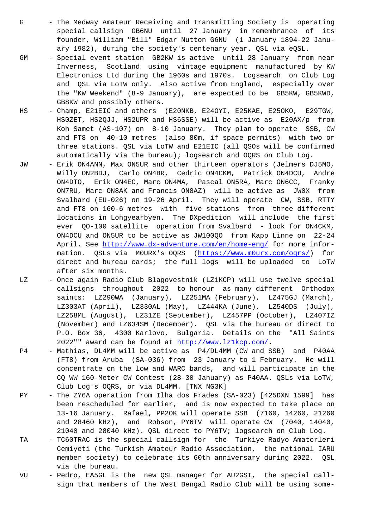special callsign GB6NU until 27 January in remembrance of its founder, William "Bill" Edgar Nutton G6NU (1 January 1894-22 Janu ary 1982), during the society's centenary year. QSL via eQSL.

- GM Special event station GB2KW is active until 28 January from near Inverness, Scotland using vintage equipment manufactured by KW Electronics Ltd during the 1960s and 1970s. Logsearch on Club Log and QSL via LoTW only. Also active from England, especially over the "KW Weekend" (8-9 January), are expected to be GB5KW, GB5KWD, GB8KW and possibly others.
- HS Champ, E21EIC and others (E20NKB, E24OYI, E25KAE, E25OKO, E29TGW, HS0ZET, HS2QJJ, HS2UPR and HS6SSE) will be active as E20AX/p from Koh Samet (AS-107) on 8-10 January. They plan to operate SSB, CW and FT8 on 40-10 metres (also 80m, if space permits) with two or three stations. QSL via LoTW and E21EIC (all QSOs will be confirmed automatically via the bureau); logsearch and OQRS on Club Log.
- JW Erik ON4ANN, Max ON5UR and other thirteen operators (Jelmers DJ5MO, Willy ON2BDJ, Carlo ON4BR, Cedric ON4CKM, Patrick ON4DCU, Andre ON4DTO, Erik ON4EC, Marc ON4MA, Pascal ON5RA, Marc ON6CC, Franky ON7RU, Marc ON8AK and Francis ON8AZ) will be active as JW0X from Svalbard (EU-026) on 19-26 April. They will operate CW, SSB, RTTY and FT8 on 160-6 metres with five stations from three different locations in Longyearbyen. The DXpedition will include the first ever QO-100 satellite operation from Svalbard - look for ON4CKM, ON4DCU and ON5UR to be active as JW100QO from Kapp Linne on 22-24 April. See http://www.dx-adventure.com/en/home-eng/ for more infor mation. QSLs via M0URX's OQRS (https://www.m0urx.com/oqrs/) for direct and bureau cards; the full logs will be uploaded to LoTW after six months.
- LZ Once again [Radio Club Blagovestnik \(LZ1KCP\) will us](http://www.dx-adventure.com/en/home-eng/)e twelve special callsigns throughout 2022 to ho[nour as many different Or](https://www.m0urx.com/oqrs/)thodox saints: LZ290WA (January), LZ251MA (February), LZ475GJ (March), LZ303AT (April), LZ330AL (May), LZ444KA (June), LZ540DS (July), LZ258ML (August), LZ31ZE (September), LZ457PP (October), LZ407IZ (November) and LZ634SM (December). QSL via the bureau or direct to P.O. Box 36, 4300 Karlovo, Bulgaria. Details on the "All Saints 2022"" award can be found at http://www.lz1kcp.com/.
- P4 Mathias, DL4MM will be active as P4/DL4MM (CW and SSB) and P40AA (FT8) from Aruba (SA-036) from 23 January to 1 February. He will concentrate on the low and WA[RC bands, and will pa](http://www.lz1kcp.com/)rticipate in the CQ WW 160-Meter CW Contest (28-30 January) as P40AA. QSLs via LoTW, Club Log's OQRS, or via DL4MM. [TNX NG3K]
- PY The ZY6A operation from Ilha dos Frades (SA-023) [425DXN 1599] has been rescheduled for earlier, and is now expected to take place on 13-16 January. Rafael, PP2OK will operate SSB (7160, 14260, 21260 and 28460 kHz), and Robson, PY6TV will operate CW (7040, 14040, 21040 and 28040 kHz). QSL direct to PY6TV; logsearch on Club Log.
- TA TC60TRAC is the special callsign for the Turkiye Radyo Amatorleri Cemiyeti (the Turkish Amateur Radio Association, the national IARU member society) to celebrate its 60th anniversary during 2022. QSL via the bureau.
- VU Pedro, EA5GL is the new QSL manager for AU2GSI, the special call sign that members of the West Bengal Radio Club will be using some-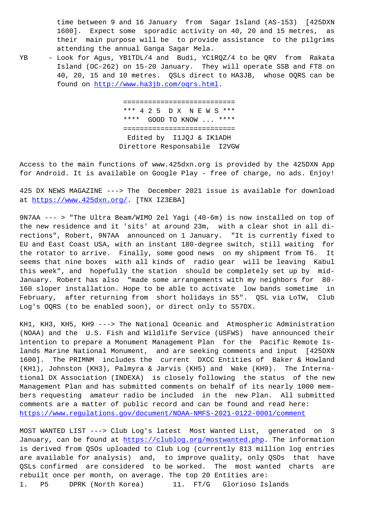1600]. Expect some sporadic activity on 40, 20 and 15 metres, as their main purpose will be to provide assistance to the pilgrims attending the annual Ganga Sagar Mela.

YB - Look for Agus, YB1TDL/4 and Budi, YC1RQZ/4 to be QRV from Rakata Island (OC-262) on 15-20 January. They will operate SSB and FT8 on 40, 20, 15 and 10 metres. QSLs direct to HA3JB, whose OQRS can be found on http://www.ha3jb.com/oqrs.html.

> =========================== [\\*\\*\\* 4 2 5 D X N E W S](http://www.ha3jb.com/oqrs.html) \*\*\* \*\*\*\* GOOD TO KNOW ... \*\*\*\* =========================== Edited by I1JQJ & IK1ADH Direttore Responsabile I2VGW

Access to the main functions of www.425dxn.org is provided by the 425DXN App for Android. It is available on Google Play - free of charge, no ads. Enjoy!

425 DX NEWS MAGAZINE ---> The December 2021 issue is available for download at https://www.425dxn.org/. [TNX IZ3EBA]

9N7AA --- > "The Ultra Beam/WIMO 2el Yagi (40-6m) is now installed on top of the new residence and it 'sits' at around 23m, with a clear shot in all direc[tions", Robert, 9N7AA a](https://www.425dxn.org/)nnounced on 1 January. "It is currently fixed to EU and East Coast USA, with an instant 180-degree switch, still waiting for the rotator to arrive. Finally, some good news on my shipment from T6. It seems that nine boxes with all kinds of radio gear will be leaving Kabul this week", and hopefully the station should be completely set up by mid-January. Robert has also "made some arrangements with my neighbors for 80- 160 sloper installation. Hope to be able to activate low bands sometime in February, after returning from short holidays in S5". QSL via LoTW, Club Log's OQRS (to be enabled soon), or direct only to S57DX.

KH1, KH3, KH5, KH9 ---> The National Oceanic and Atmospheric Administration (NOAA) and the U.S. Fish and Wildlife Service (USFWS) have announced their intention to prepare a Monument Management Plan for the Pacific Remote Islands Marine National Monument, and are seeking comments and input [425DXN 1600]. The PRIMNM includes the current DXCC Entities of Baker & Howland (KH1), Johnston (KH3), Palmyra & Jarvis (KH5) and Wake (KH9). The International DX Association (INDEXA) is closely following the status of the new Management Plan and has submitted comments on behalf of its nearly 1000 members requesting amateur radio be included in the new Plan. All submitted comments are a matter of public record and can be found and read here: https://www.regulations.gov/document/NOAA-NMFS-2021-0122-0001/comment

MOST WANTED LIST ---> Club Log's latest Most Wanted List, generated on 3 January, can be found at https://clublog.org/mostwanted.php. The information [is derived from QSOs uploaded to Club Log \(currently 813 million log e](https://www.regulations.gov/document/NOAA-NMFS-2021-0122-0001/comment)ntries are available for analysis) and, to improve quality, only QSOs that have QSLs confirmed are cons[idered to be worked. The most wan](https://clublog.org/mostwanted.php)ted charts are rebuilt once per month, on average. The top 20 Entities are: 1. P5 DPRK (North Korea) 11. FT/G Glorioso Islands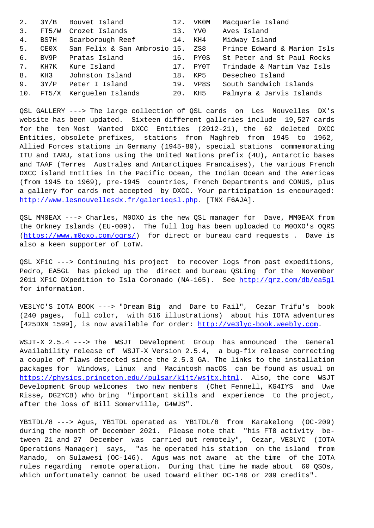| ာ. |      | <u>-retatiae</u>             |     |      |                             |
|----|------|------------------------------|-----|------|-----------------------------|
| 4. | BS7H | Scarborough Reef             | 14. | KH4  | Midway Island               |
| 5. | CE0X | San Felix & San Ambrosio 15. |     | ZS8  | Prince Edward & Marion Isls |
| б. | BV9P | Pratas Island                | 16. | PY0S | St Peter and St Paul Rocks  |
| 7. | KH7K | Kure Island                  | 17. | PY0T | Trindade & Martim Vaz Isls  |
| 8. | KH3  | Johnston Island              | 18. | KP5  | Desecheo Island             |
| 9. | 3Y/P | Peter I Island               | 19. | VP8S | South Sandwich Islands      |
|    |      | 10. FT5/X Kerguelen Islands  | 20. | KH5  | Palmyra & Jarvis Islands    |

QSL GALLERY ---> The large collection of QSL cards on Les Nouvelles DX's website has been updated. Sixteen different galleries include 19,527 cards for the ten Most Wanted DXCC Entities (2012-21), the 62 deleted DXCC Entities, obsolete prefixes, stations from Maghreb from 1945 to 1962, Allied Forces stations in Germany (1945-80), special stations commemorating ITU and IARU, stations using the United Nations prefix (4U), Antarctic bases and TAAF (Terres Australes and Antarctiques Francaises), the various French DXCC island Entities in the Pacific Ocean, the Indian Ocean and the Americas (from 1945 to 1969), pre-1945 countries, French Departments and CONUS, plus a gallery for cards not accepted by DXCC. Your participation is encouraged: http://www.lesnouvellesdx.fr/galerieqsl.php. [TNX F6AJA].

QSL MM0EAX ---> Charles, M0OXO is the new QSL manager for Dave, MM0EAX from the Orkney Islands (EU-009). The full log has been uploaded to M0OXO's OQRS [\(https://www.m0oxo.com/oqrs/\) for direct or](http://www.lesnouvellesdx.fr/galerieqsl.php) bureau card requests . Dave is also a keen supporter of LoTW.

Q[SL XF1C ---> Continuing his](https://www.m0oxo.com/oqrs/) project to recover logs from past expeditions, Pedro, EA5GL has picked up the direct and bureau QSLing for the November 2011 XF1C DXpedition to Isla Coronado (NA-165). See http://qrz.com/db/ea5gl for information.

VE3LYC'S IOTA BOOK ---> "Dream Big and Dare to Fail[", Cezar Trifu](http://qrz.com/db/ea5gl)'[s book](http://qrz.com/db/ea5gl) (240 pages, full color, with 516 illustrations) about his IOTA adventures [425DXN 1599], is now available for order: http://ve3lyc-book.weebly.com.

WSJT-X 2.5.4 ---> The WSJT Development Group has announced the General Availability release of WSJT-X Version 2.5.4, a bug-fix release correcting a couple of flaws detected since the 2.5.3 [GA. The links to the installa](http://ve3lyc-book.weebly.com)tion packages for Windows, Linux and Macintosh macOS can be found as usual on https://physics.princeton.edu//pulsar/k1jt/wsjtx.html. Also, the core WSJT Development Group welcomes two new members (Chet Fennell, KG4IYS and Uwe Risse, DG2YCB) who bring "important skills and experience to the project, [after the loss of Bill Somerville, G4WJS".](https://physics.princeton.edu//pulsar/k1jt/wsjtx.html)

YB1TDL/8 ---> Agus, YB1TDL operated as YB1TDL/8 from Karakelong (OC-209) during the month of December 2021. Please note that "his FT8 activity between 21 and 27 December was carried out remotely", Cezar, VE3LYC (IOTA Operations Manager) says, "as he operated his station on the island from Manado, on Sulawesi (OC-146). Agus was not aware at the time of the IOTA rules regarding remote operation. During that time he made about 60 QSOs, which unfortunately cannot be used toward either OC-146 or 209 credits".